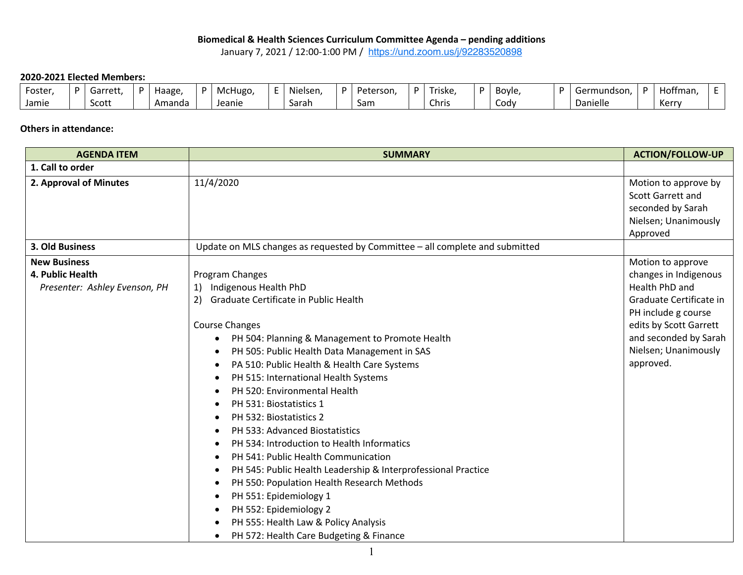## **Biomedical & Health Sciences Curriculum Committee Agenda – pending additions**

January 7, 2021 / 12:00-1:00 PM / https://und.zoom.us/j/92283520898

## **2020-2021 Elected Members:**

| Foster | D | Garrett, | Haage, | McHugo | $\cdots$<br>Nielsen | D | Peterson, | $\sim$ $\sim$<br>' riske. | <b>Bovle</b> | Germundson. | D. | Hoffman. |  |
|--------|---|----------|--------|--------|---------------------|---|-----------|---------------------------|--------------|-------------|----|----------|--|
| Jamie  |   | Scott    | Amanda | Jeanie | Sarah               |   | Sam       | $\sim$<br>Chris           | Codv         | Danielle    |    | Kerry    |  |

## **Others in attendance:**

| <b>AGENDA ITEM</b>                                                       | <b>SUMMARY</b>                                                                                                                                                                                                                                                                                                                                                                                                                                                                                                                                                                                                                                                                                                                                                                                                                                                                                                                                               | <b>ACTION/FOLLOW-UP</b>                                                                                                                                                                                |  |  |
|--------------------------------------------------------------------------|--------------------------------------------------------------------------------------------------------------------------------------------------------------------------------------------------------------------------------------------------------------------------------------------------------------------------------------------------------------------------------------------------------------------------------------------------------------------------------------------------------------------------------------------------------------------------------------------------------------------------------------------------------------------------------------------------------------------------------------------------------------------------------------------------------------------------------------------------------------------------------------------------------------------------------------------------------------|--------------------------------------------------------------------------------------------------------------------------------------------------------------------------------------------------------|--|--|
| 1. Call to order                                                         |                                                                                                                                                                                                                                                                                                                                                                                                                                                                                                                                                                                                                                                                                                                                                                                                                                                                                                                                                              |                                                                                                                                                                                                        |  |  |
| 2. Approval of Minutes                                                   | 11/4/2020                                                                                                                                                                                                                                                                                                                                                                                                                                                                                                                                                                                                                                                                                                                                                                                                                                                                                                                                                    | Motion to approve by<br>Scott Garrett and<br>seconded by Sarah<br>Nielsen; Unanimously<br>Approved                                                                                                     |  |  |
| 3. Old Business                                                          | Update on MLS changes as requested by Committee - all complete and submitted                                                                                                                                                                                                                                                                                                                                                                                                                                                                                                                                                                                                                                                                                                                                                                                                                                                                                 |                                                                                                                                                                                                        |  |  |
| <b>New Business</b><br>4. Public Health<br>Presenter: Ashley Evenson, PH | Program Changes<br>Indigenous Health PhD<br>1)<br>Graduate Certificate in Public Health<br>2)<br><b>Course Changes</b><br>PH 504: Planning & Management to Promote Health<br>$\bullet$<br>PH 505: Public Health Data Management in SAS<br>$\bullet$<br>PA 510: Public Health & Health Care Systems<br>$\bullet$<br>PH 515: International Health Systems<br>$\bullet$<br>PH 520: Environmental Health<br>$\bullet$<br>PH 531: Biostatistics 1<br>PH 532: Biostatistics 2<br>$\bullet$<br>PH 533: Advanced Biostatistics<br>PH 534: Introduction to Health Informatics<br>$\bullet$<br>PH 541: Public Health Communication<br>PH 545: Public Health Leadership & Interprofessional Practice<br>$\bullet$<br>PH 550: Population Health Research Methods<br>$\bullet$<br>PH 551: Epidemiology 1<br>$\bullet$<br>PH 552: Epidemiology 2<br>$\bullet$<br>PH 555: Health Law & Policy Analysis<br>$\bullet$<br>PH 572: Health Care Budgeting & Finance<br>$\bullet$ | Motion to approve<br>changes in Indigenous<br>Health PhD and<br>Graduate Certificate in<br>PH include g course<br>edits by Scott Garrett<br>and seconded by Sarah<br>Nielsen; Unanimously<br>approved. |  |  |